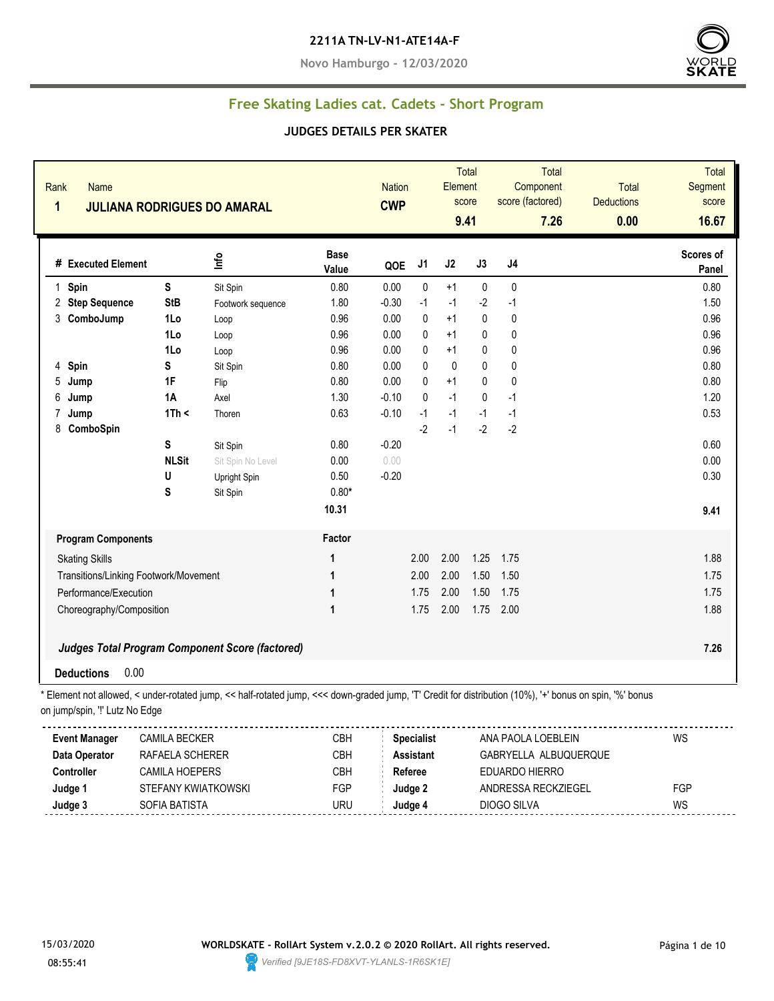#### **2211A TN-LV-N1-ATE14A-F**

**Novo Hamburgo - 12/03/2020**



## **Free Skating Ladies cat. Cadets - Short Program**

#### **JUDGES DETAILS PER SKATER**

| Rank<br><b>Name</b><br>1                                                                                                                                                                   |                | <b>JULIANA RODRIGUES DO AMARAL</b>                     |                      | <b>Nation</b><br><b>CWP</b> |                   | Element      | Total<br>score<br>9.41 | Component<br>score (factored) | Total<br>7.26 | Total<br><b>Deductions</b><br>0.00 | <b>Total</b><br>Segment<br>score<br>16.67 |
|--------------------------------------------------------------------------------------------------------------------------------------------------------------------------------------------|----------------|--------------------------------------------------------|----------------------|-----------------------------|-------------------|--------------|------------------------|-------------------------------|---------------|------------------------------------|-------------------------------------------|
| # Executed Element                                                                                                                                                                         |                | lnfo                                                   | <b>Base</b><br>Value | QOE                         | J1                | J2           | J3                     | J <sub>4</sub>                |               |                                    | Scores of<br>Panel                        |
| 1 Spin                                                                                                                                                                                     | S              | Sit Spin                                               | 0.80                 | 0.00                        | $\pmb{0}$         | $+1$         | $\pmb{0}$              | 0                             |               |                                    | 0.80                                      |
| 2 Step Sequence                                                                                                                                                                            | <b>StB</b>     | Footwork sequence                                      | 1.80                 | $-0.30$                     | $-1$              | $-1$         | $-2$                   | $-1$                          |               |                                    | 1.50                                      |
| 3<br>ComboJump                                                                                                                                                                             | 1Lo            | Loop                                                   | 0.96                 | 0.00                        | 0                 | $+1$         | $\mathbf 0$            | $\mathbf{0}$                  |               |                                    | 0.96                                      |
|                                                                                                                                                                                            | 1Lo            | Loop                                                   | 0.96                 | 0.00                        | 0                 | $+1$         | $\mathbf 0$            | $\mathbf{0}$                  |               |                                    | 0.96                                      |
|                                                                                                                                                                                            | 1Lo            | Loop                                                   | 0.96                 | 0.00                        | 0                 | $+1$         | $\mathbf 0$            | $\mathbf 0$                   |               |                                    | 0.96                                      |
| 4<br>Spin                                                                                                                                                                                  | S              | Sit Spin                                               | 0.80                 | 0.00                        | $\mathbf{0}$      | $\mathbf{0}$ | $\pmb{0}$              | $\mathbf 0$                   |               |                                    | 0.80                                      |
| 5<br>Jump                                                                                                                                                                                  | 1F             | Flip                                                   | 0.80                 | 0.00                        | 0                 | $+1$         | $\pmb{0}$              | $\pmb{0}$                     |               |                                    | 0.80                                      |
| 6<br>Jump                                                                                                                                                                                  | 1A             | Axel                                                   | 1.30                 | $-0.10$                     | 0                 | $-1$         | $\pmb{0}$              | $-1$                          |               |                                    | 1.20                                      |
| 7<br>Jump                                                                                                                                                                                  | 1Th <          | Thoren                                                 | 0.63                 | $-0.10$                     | $-1$              | $-1$         | $-1$                   | $-1$                          |               |                                    | 0.53                                      |
| 8<br>ComboSpin                                                                                                                                                                             |                |                                                        |                      |                             | $-2$              | $-1$         | $-2$                   | $-2$                          |               |                                    |                                           |
|                                                                                                                                                                                            | S              | Sit Spin                                               | 0.80                 | $-0.20$                     |                   |              |                        |                               |               |                                    | 0.60                                      |
|                                                                                                                                                                                            | <b>NLSit</b>   | Sit Spin No Level                                      | 0.00                 | 0.00                        |                   |              |                        |                               |               |                                    | 0.00                                      |
|                                                                                                                                                                                            | U              | Upright Spin                                           | 0.50                 | $-0.20$                     |                   |              |                        |                               |               |                                    | 0.30                                      |
|                                                                                                                                                                                            | S              | Sit Spin                                               | $0.80*$              |                             |                   |              |                        |                               |               |                                    |                                           |
|                                                                                                                                                                                            |                |                                                        | 10.31                |                             |                   |              |                        |                               |               |                                    | 9.41                                      |
| <b>Program Components</b>                                                                                                                                                                  |                |                                                        | Factor               |                             |                   |              |                        |                               |               |                                    |                                           |
| <b>Skating Skills</b>                                                                                                                                                                      |                |                                                        | 1                    |                             | 2.00              | 2.00         | 1.25                   | 1.75                          |               |                                    | 1.88                                      |
| Transitions/Linking Footwork/Movement                                                                                                                                                      |                |                                                        | 1                    |                             | 2.00              | 2.00         | 1.50                   | 1.50                          |               |                                    | 1.75                                      |
| Performance/Execution                                                                                                                                                                      |                |                                                        | 1                    |                             | 1.75              | 2.00         | 1.50                   | 1.75                          |               |                                    | 1.75                                      |
| Choreography/Composition                                                                                                                                                                   |                |                                                        | 1                    |                             | 1.75              | 2.00         | 1.75                   | 2.00                          |               |                                    | 1.88                                      |
| 0.00<br><b>Deductions</b>                                                                                                                                                                  |                | <b>Judges Total Program Component Score (factored)</b> |                      |                             |                   |              |                        |                               |               |                                    | 7.26                                      |
| * Element not allowed, < under-rotated jump, << half-rotated jump, <<< down-graded jump, 'T' Credit for distribution (10%), '+' bonus on spin, '%' bonus<br>on jump/spin, "!' Lutz No Edge | CAMILA DECIZED |                                                        | CDU                  |                             | <b>Concipliet</b> |              |                        | ANIA DAOLA LOEDLEINI          |               |                                    | M <sub>C</sub>                            |

| <b>Event Manager</b> | <b>CAMILA BECKER</b>  | СВН        | <b>Specialist</b> | ANA PAOLA LOEBLEIN    | WS  |
|----------------------|-----------------------|------------|-------------------|-----------------------|-----|
| Data Operator        | RAFAELA SCHERER       | СВН        | <b>Assistant</b>  | GABRYELLA ALBUQUERQUE |     |
| Controller           | <b>CAMILA HOEPERS</b> | CBH        | Referee           | EDUARDO HIERRO        |     |
| Judge 1              | STEFANY KWIATKOWSKI   | <b>FGP</b> | Judae 2           | ANDRESSA RECKZIEGEL   | FGP |
| Judge 3              | SOFIA BATISTA         | uru        | Judae 4           | DIOGO SILVA           | WS  |

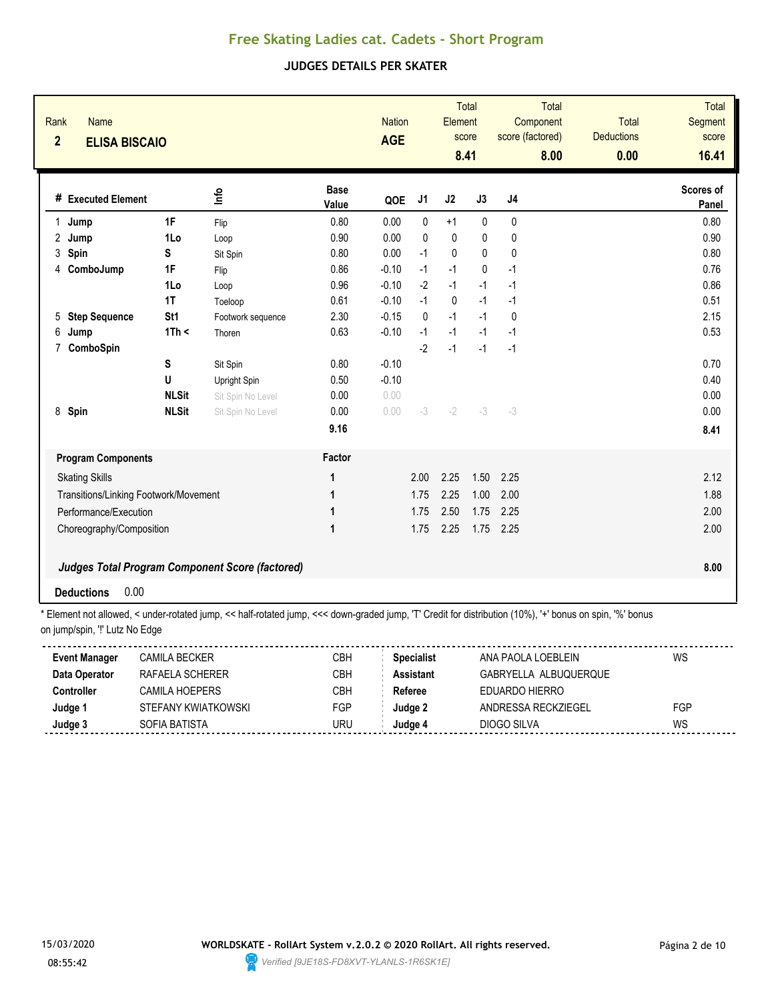#### **JUDGES DETAILS PER SKATER**

| Rank<br><b>Name</b><br>$\overline{2}$<br><b>ELISA BISCAIO</b> |                 |                                                        |                      | <b>Nation</b><br><b>AGE</b> |                | Element      | <b>Total</b><br>score<br>8.41 | <b>Total</b><br>Component<br>score (factored)<br>8.00 | <b>Total</b><br><b>Deductions</b><br>0.00 | <b>Total</b><br>Segment<br>score<br>16.41 |
|---------------------------------------------------------------|-----------------|--------------------------------------------------------|----------------------|-----------------------------|----------------|--------------|-------------------------------|-------------------------------------------------------|-------------------------------------------|-------------------------------------------|
| # Executed Element                                            |                 | 울                                                      | <b>Base</b><br>Value | QOE                         | J <sub>1</sub> | J2           | J3                            | J <sub>4</sub>                                        |                                           | Scores of<br>Panel                        |
| 1<br>Jump                                                     | 1F              | Flip                                                   | 0.80                 | 0.00                        | $\mathbf{0}$   | $+1$         | $\mathbf{0}$                  | 0                                                     |                                           | 0.80                                      |
| 2<br>Jump                                                     | 1Lo             | Loop                                                   | 0.90                 | 0.00                        | $\mathbf{0}$   | $\pmb{0}$    | 0                             | 0                                                     |                                           | 0.90                                      |
| 3<br>Spin                                                     | S               | Sit Spin                                               | 0.80                 | 0.00                        | $-1$           | $\mathbf{0}$ | $\Omega$                      | $\mathbf{0}$                                          |                                           | 0.80                                      |
| ComboJump<br>4                                                | 1F              | Flip                                                   | 0.86                 | $-0.10$                     | $-1$           | $-1$         | $\mathbf{0}$                  | $-1$                                                  |                                           | 0.76                                      |
|                                                               | 1Lo             | Loop                                                   | 0.96                 | $-0.10$                     | $-2$           | $-1$         | $-1$                          | $-1$                                                  |                                           | 0.86                                      |
|                                                               | 1T              | Toeloop                                                | 0.61                 | $-0.10$                     | $-1$           | $\pmb{0}$    | $-1$                          | $-1$                                                  |                                           | 0.51                                      |
| <b>Step Sequence</b><br>5                                     | St <sub>1</sub> | Footwork sequence                                      | 2.30                 | $-0.15$                     | $\Omega$       | $-1$         | $-1$                          | $\mathbf{0}$                                          |                                           | 2.15                                      |
| 6<br>Jump                                                     | 1Th <           | Thoren                                                 | 0.63                 | $-0.10$                     | $-1$           | $-1$         | $-1$                          | $-1$                                                  |                                           | 0.53                                      |
| ComboSpin<br>$\overline{7}$                                   |                 |                                                        |                      |                             | $-2$           | $-1$         | $-1$                          | $-1$                                                  |                                           |                                           |
|                                                               | S               | Sit Spin                                               | 0.80                 | $-0.10$                     |                |              |                               |                                                       |                                           | 0.70                                      |
|                                                               | U               | Upright Spin                                           | 0.50                 | $-0.10$                     |                |              |                               |                                                       |                                           | 0.40                                      |
|                                                               | <b>NLSit</b>    | Sit Spin No Level                                      | 0.00                 | 0.00                        |                |              |                               |                                                       |                                           | 0.00                                      |
| 8 Spin                                                        | <b>NLSit</b>    | Sit Spin No Level                                      | 0.00                 | 0.00                        | $-3$           | $-2$         | $-3$                          | $-3$                                                  |                                           | 0.00                                      |
|                                                               |                 |                                                        | 9.16                 |                             |                |              |                               |                                                       |                                           | 8.41                                      |
| <b>Program Components</b>                                     |                 |                                                        | Factor               |                             |                |              |                               |                                                       |                                           |                                           |
| <b>Skating Skills</b>                                         |                 |                                                        | 1                    |                             | 2.00           | 2.25         | 1.50                          | 2.25                                                  |                                           | 2.12                                      |
| Transitions/Linking Footwork/Movement                         |                 |                                                        | 1                    |                             | 1.75           | 2.25         | 1.00                          | 2.00                                                  |                                           | 1.88                                      |
| Performance/Execution                                         |                 |                                                        | 1                    |                             | 1.75           | 2.50         | 1.75                          | 2.25                                                  |                                           | 2.00                                      |
| Choreography/Composition                                      |                 |                                                        | $\mathbf 1$          |                             | 1.75           | 2.25         | 1.75                          | 2.25                                                  |                                           | 2.00                                      |
|                                                               |                 |                                                        |                      |                             |                |              |                               |                                                       |                                           |                                           |
|                                                               |                 | <b>Judges Total Program Component Score (factored)</b> |                      |                             |                |              |                               |                                                       |                                           | 8.00                                      |
| 0.00<br><b>Deductions</b>                                     |                 |                                                        |                      |                             |                |              |                               |                                                       |                                           |                                           |

| <b>Event Manager</b> | CAMILA BECKER       | СВН        | <b>Specialist</b> | ANA PAOLA LOEBLEIN    | WS  |
|----------------------|---------------------|------------|-------------------|-----------------------|-----|
| Data Operator        | RAFAFI A SCHFRFR    | СВН        | Assistant         | GABRYELLA ALBUQUERQUE |     |
| Controller           | CAMII A HOFPFRS     | СВН        | Referee           | FDUARDO HIFRRO        |     |
| Judge 1              | STEFANY KWIATKOWSKI | <b>FGP</b> | Judae 2           | ANDRESSA RECKZIEGEL   | FGP |
| Judge 3              | SOFIA BATISTA       | URU        | Judqe 4           | DIOGO SILVA           | WS  |
|                      |                     |            |                   |                       |     |

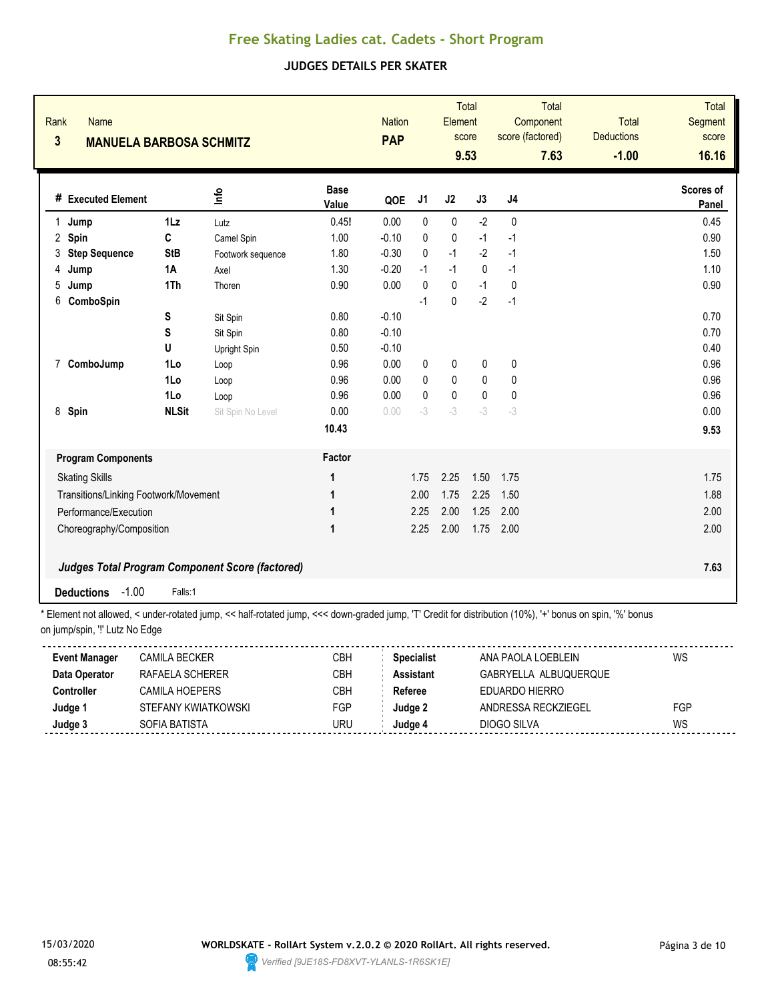### **JUDGES DETAILS PER SKATER**

| Rank<br>$\overline{\mathbf{3}}$ | <b>Name</b><br><b>MANUELA BARBOSA SCHMITZ</b>          |                 |                                                                                                                                                     |                      | <b>Nation</b><br><b>PAP</b> |                | Element   | <b>Total</b><br>score<br>9.53 | Total<br>Component<br>score (factored)<br>7.63 | <b>Total</b><br><b>Deductions</b><br>$-1.00$ | <b>Total</b><br><b>Segment</b><br>score<br>16.16 |
|---------------------------------|--------------------------------------------------------|-----------------|-----------------------------------------------------------------------------------------------------------------------------------------------------|----------------------|-----------------------------|----------------|-----------|-------------------------------|------------------------------------------------|----------------------------------------------|--------------------------------------------------|
|                                 | # Executed Element                                     |                 | ۴ů                                                                                                                                                  | <b>Base</b><br>Value | QOE                         | J <sub>1</sub> | J2        | J3                            | J4                                             |                                              | Scores of<br>Panel                               |
| $\mathbf{1}$                    | Jump                                                   | 1 <sub>Lz</sub> | Lutz                                                                                                                                                | 0.45!                | 0.00                        | $\mathbf{0}$   | 0         | $-2$                          | $\mathbf{0}$                                   |                                              | 0.45                                             |
| 2                               | Spin                                                   | C               | Camel Spin                                                                                                                                          | 1.00                 | $-0.10$                     | $\mathbf{0}$   | 0         | $-1$                          | $-1$                                           |                                              | 0.90                                             |
| 3                               | <b>Step Sequence</b>                                   | <b>StB</b>      | Footwork sequence                                                                                                                                   | 1.80                 | $-0.30$                     | $\Omega$       | $-1$      | $-2$                          | $-1$                                           |                                              | 1.50                                             |
| 4                               | Jump                                                   | 1A              | Axel                                                                                                                                                | 1.30                 | $-0.20$                     | $-1$           | $-1$      | $\mathbf{0}$                  | $-1$                                           |                                              | 1.10                                             |
| 5                               | Jump                                                   | 1Th             | Thoren                                                                                                                                              | 0.90                 | 0.00                        | $\mathbf{0}$   | 0         | $-1$                          | 0                                              |                                              | 0.90                                             |
| 6                               | ComboSpin                                              |                 |                                                                                                                                                     |                      |                             | $-1$           | 0         | $-2$                          | $-1$                                           |                                              |                                                  |
|                                 |                                                        | S               | Sit Spin                                                                                                                                            | 0.80                 | $-0.10$                     |                |           |                               |                                                |                                              | 0.70                                             |
|                                 |                                                        | S               | Sit Spin                                                                                                                                            | 0.80                 | $-0.10$                     |                |           |                               |                                                |                                              | 0.70                                             |
|                                 |                                                        | U               | Upright Spin                                                                                                                                        | 0.50                 | $-0.10$                     |                |           |                               |                                                |                                              | 0.40                                             |
| $\mathbf{7}$                    | ComboJump                                              | 1Lo             | Loop                                                                                                                                                | 0.96                 | 0.00                        | 0              | 0         | 0                             | 0                                              |                                              | 0.96                                             |
|                                 |                                                        | 1Lo             | Loop                                                                                                                                                | 0.96                 | 0.00                        | $\mathbf{0}$   | 0         | $\mathbf{0}$                  | 0                                              |                                              | 0.96                                             |
|                                 |                                                        | 1Lo             | Loop                                                                                                                                                | 0.96                 | 0.00                        | $\mathbf{0}$   | $\pmb{0}$ | $\pmb{0}$                     | 0                                              |                                              | 0.96                                             |
| 8                               | Spin                                                   | <b>NLSit</b>    | Sit Spin No Level                                                                                                                                   | 0.00                 | 0.00                        | $-3$           | $-3$      | $-3$                          | $-3$                                           |                                              | 0.00                                             |
|                                 |                                                        |                 |                                                                                                                                                     | 10.43                |                             |                |           |                               |                                                |                                              | 9.53                                             |
|                                 | <b>Program Components</b>                              |                 |                                                                                                                                                     | Factor               |                             |                |           |                               |                                                |                                              |                                                  |
|                                 | <b>Skating Skills</b>                                  |                 |                                                                                                                                                     | 1                    |                             | 1.75           | 2.25      | 1.50                          | 1.75                                           |                                              | 1.75                                             |
|                                 | Transitions/Linking Footwork/Movement                  |                 |                                                                                                                                                     | 1                    |                             | 2.00           | 1.75      | 2.25                          | 1.50                                           |                                              | 1.88                                             |
|                                 | Performance/Execution                                  |                 |                                                                                                                                                     | 1                    |                             | 2.25           | 2.00      | 1.25                          | 2.00                                           |                                              | 2.00                                             |
|                                 | Choreography/Composition                               |                 |                                                                                                                                                     | 1                    |                             | 2.25           | 2.00      | 1.75                          | 2.00                                           |                                              | 2.00                                             |
|                                 |                                                        |                 |                                                                                                                                                     |                      |                             |                |           |                               |                                                |                                              |                                                  |
|                                 | <b>Judges Total Program Component Score (factored)</b> |                 |                                                                                                                                                     |                      |                             |                |           |                               |                                                |                                              | 7.63                                             |
|                                 | $-1.00$<br><b>Deductions</b>                           | Falls:1         | * Element not ellowed zunder retated jump zz bolf retated jump zzz dewn aroded jump IT! Credit for distribution (100/) Jul benye en epip 10/1 benye |                      |                             |                |           |                               |                                                |                                              |                                                  |

| <b>Event Manager</b> | CAMILA BECKER       | СВН        | <b>Specialist</b> | ANA PAOLA LOEBLEIN    | WS  |
|----------------------|---------------------|------------|-------------------|-----------------------|-----|
| Data Operator        | RAFAFI A SCHFRFR    | СВН        | Assistant         | GABRYELLA ALBUQUERQUE |     |
| Controller           | CAMII A HOFPFRS     | СВН        | Referee           | FDUARDO HIFRRO        |     |
| Judge 1              | STEFANY KWIATKOWSKI | <b>FGP</b> | Judae 2           | ANDRESSA RECKZIEGEL   | FGP |
| Judge 3              | SOFIA BATISTA       | URU        | Judqe 4           | DIOGO SILVA           | WS  |
|                      |                     |            |                   |                       |     |

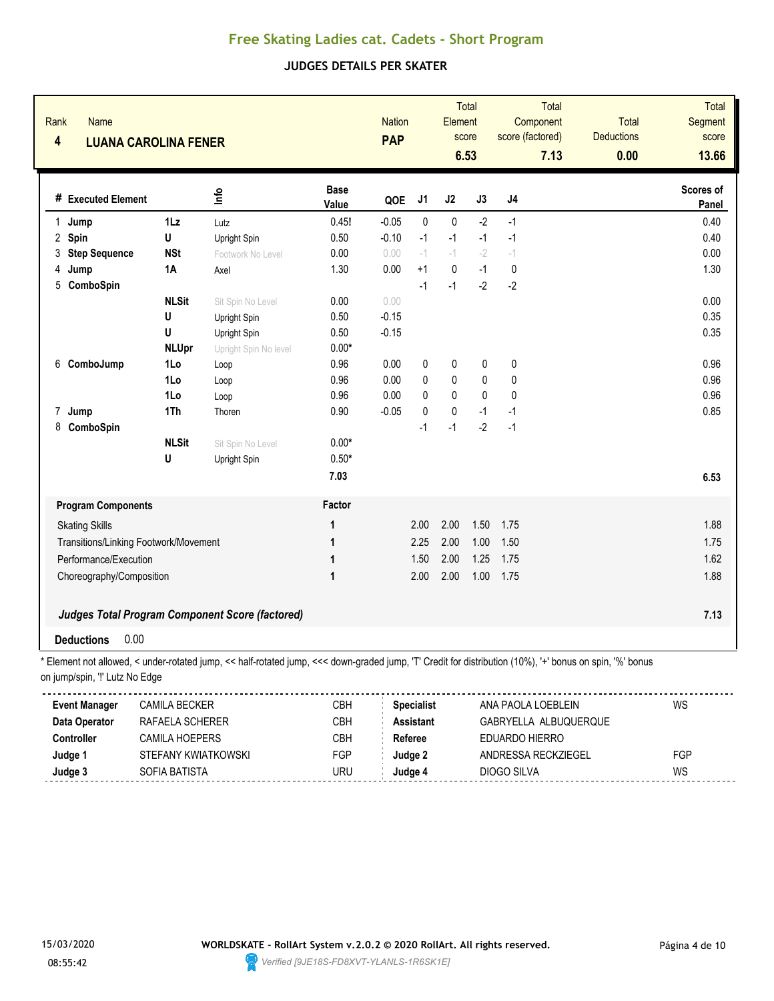### **JUDGES DETAILS PER SKATER**

| Rank<br>$\overline{\mathbf{4}}$ | <b>Name</b><br><b>LUANA CAROLINA FENER</b>             |                |                       |                      | <b>Nation</b><br><b>PAP</b> |              | Element      | <b>Total</b><br>score<br>6.53 |           | Total<br>Component<br>score (factored)<br>7.13 | Total<br><b>Deductions</b><br>0.00 | <b>Total</b><br>Segment<br>score<br>13.66 |
|---------------------------------|--------------------------------------------------------|----------------|-----------------------|----------------------|-----------------------------|--------------|--------------|-------------------------------|-----------|------------------------------------------------|------------------------------------|-------------------------------------------|
|                                 | # Executed Element                                     |                | Info                  | <b>Base</b><br>Value | QOE                         | J1           | J2           | J3                            | $\sf J4$  |                                                |                                    | Scores of<br>Panel                        |
| $\mathbf{1}$                    | Jump                                                   | $1\mathsf{L}z$ | Lutz                  | 0.45!                | $-0.05$                     | $\mathbf{0}$ | $\mathbf{0}$ | $-2$                          | $-1$      |                                                |                                    | 0.40                                      |
| $\overline{2}$                  | Spin                                                   | U              | Upright Spin          | 0.50                 | $-0.10$                     | $-1$         | $-1$         | $-1$                          | $-1$      |                                                |                                    | 0.40                                      |
| 3                               | <b>Step Sequence</b>                                   | <b>NSt</b>     | Footwork No Level     | 0.00                 | 0.00                        | $-1$         | $-1$         | $-2$                          | $-1$      |                                                |                                    | 0.00                                      |
| 4                               | Jump                                                   | <b>1A</b>      | Axel                  | 1.30                 | 0.00                        | $+1$         | 0            | $-1$                          | 0         |                                                |                                    | 1.30                                      |
| 5                               | ComboSpin                                              |                |                       |                      |                             | $-1$         | $-1$         | $-2$                          | $-2$      |                                                |                                    |                                           |
|                                 |                                                        | <b>NLSit</b>   | Sit Spin No Level     | 0.00                 | 0.00                        |              |              |                               |           |                                                |                                    | 0.00                                      |
|                                 |                                                        | U              | Upright Spin          | 0.50                 | $-0.15$                     |              |              |                               |           |                                                |                                    | 0.35                                      |
|                                 |                                                        | U              | Upright Spin          | 0.50                 | $-0.15$                     |              |              |                               |           |                                                |                                    | 0.35                                      |
|                                 |                                                        | <b>NLUpr</b>   | Upright Spin No level | $0.00*$              |                             |              |              |                               |           |                                                |                                    |                                           |
| 6                               | ComboJump                                              | 1Lo            | Loop                  | 0.96                 | 0.00                        | 0            | 0            | 0                             | 0         |                                                |                                    | 0.96                                      |
|                                 |                                                        | 1Lo            | Loop                  | 0.96                 | 0.00                        | $\mathbf{0}$ | 0            | 0                             | $\pmb{0}$ |                                                |                                    | 0.96                                      |
|                                 |                                                        | 1Lo            | Loop                  | 0.96                 | 0.00                        | 0            | 0            | $\pmb{0}$                     | $\pmb{0}$ |                                                |                                    | 0.96                                      |
| $\overline{7}$                  | Jump                                                   | 1Th            | Thoren                | 0.90                 | $-0.05$                     | $\mathbf{0}$ | 0            | $-1$                          | $-1$      |                                                |                                    | 0.85                                      |
| 8                               | ComboSpin                                              |                |                       |                      |                             | $-1$         | $-1$         | $-2$                          | $-1$      |                                                |                                    |                                           |
|                                 |                                                        | <b>NLSit</b>   | Sit Spin No Level     | $0.00*$              |                             |              |              |                               |           |                                                |                                    |                                           |
|                                 |                                                        | U              | Upright Spin          | $0.50*$              |                             |              |              |                               |           |                                                |                                    |                                           |
|                                 |                                                        |                |                       | 7.03                 |                             |              |              |                               |           |                                                |                                    | 6.53                                      |
|                                 | <b>Program Components</b>                              |                |                       | Factor               |                             |              |              |                               |           |                                                |                                    |                                           |
|                                 | <b>Skating Skills</b>                                  |                |                       | 1                    |                             | 2.00         | 2.00         | 1.50                          | 1.75      |                                                |                                    | 1.88                                      |
|                                 | Transitions/Linking Footwork/Movement                  |                |                       | 1                    |                             | 2.25         | 2.00         | 1.00                          | 1.50      |                                                |                                    | 1.75                                      |
|                                 | Performance/Execution                                  |                |                       | 1                    |                             | 1.50         | 2.00         | 1.25                          | 1.75      |                                                |                                    | 1.62                                      |
|                                 | Choreography/Composition                               |                |                       | 1                    |                             | 2.00         | 2.00         | 1.00                          | 1.75      |                                                |                                    | 1.88                                      |
|                                 |                                                        |                |                       |                      |                             |              |              |                               |           |                                                |                                    |                                           |
|                                 | <b>Judges Total Program Component Score (factored)</b> |                |                       |                      |                             |              |              |                               |           |                                                |                                    | 7.13                                      |
|                                 | <b>Deductions</b><br>0.00                              |                |                       |                      |                             |              |              |                               |           |                                                |                                    |                                           |

| <b>Event Manager</b> | CAMILA BECKER       | CBH  | <b>Specialist</b> | ANA PAOLA LOEBLEIN    | WS  |
|----------------------|---------------------|------|-------------------|-----------------------|-----|
| Data Operator        | RAFAFI A SCHFRFR    | CBH. | <b>Assistant</b>  | GABRYELLA ALBUQUERQUE |     |
| Controller           | CAMILA HOEPERS      | СВН  | Referee           | EDUARDO HIERRO        |     |
| Judge 1              | STEFANY KWIATKOWSKI | FGP  | Judae 2           | ANDRESSA RECKZIEGEL   | FGP |
| Judge 3              | SOFIA BATISTA       | URU  | Judae 4           | DIOGO SILVA           | WS  |

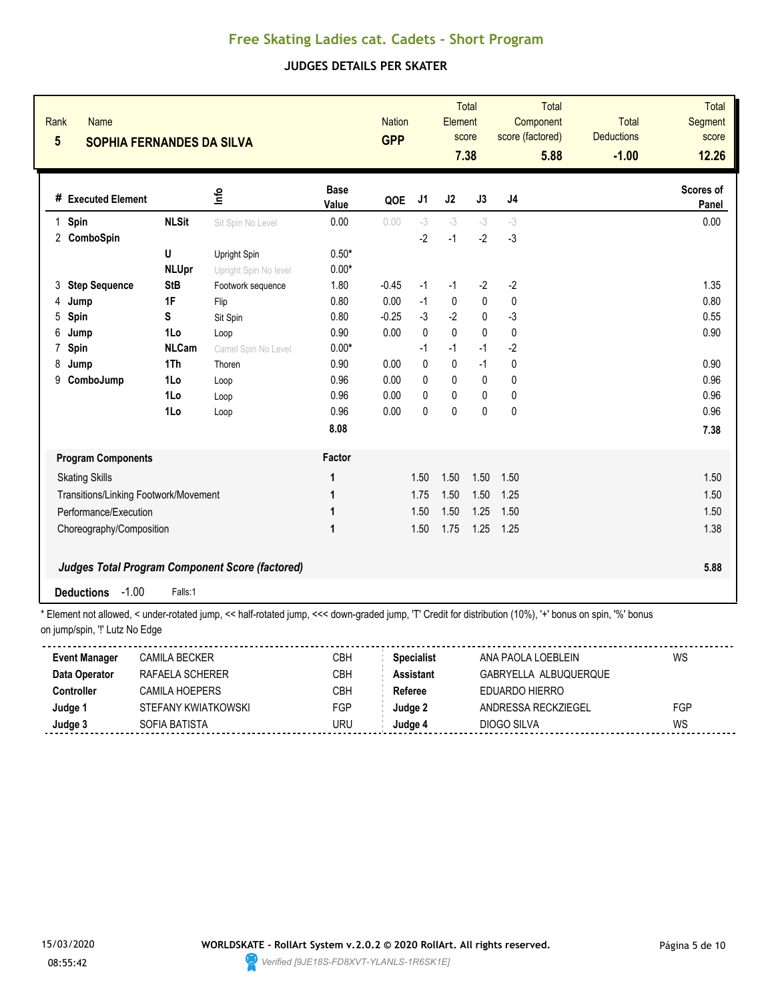### **JUDGES DETAILS PER SKATER**

| Rank<br>Name<br>$5\phantom{.0}$<br><b>SOPHIA FERNANDES DA SILVA</b> |                                                 |                       |                      | <b>Nation</b><br><b>GPP</b> |                | <b>Total</b><br>Element<br>score<br>7.38 |             | Total<br>Component<br>score (factored)<br>5.88 |  | <b>Total</b><br><b>Deductions</b><br>$-1.00$ | <b>Total</b><br><b>Segment</b><br>score<br>12.26 |
|---------------------------------------------------------------------|-------------------------------------------------|-----------------------|----------------------|-----------------------------|----------------|------------------------------------------|-------------|------------------------------------------------|--|----------------------------------------------|--------------------------------------------------|
| # Executed Element                                                  |                                                 | ۴ů                    | <b>Base</b><br>Value | QOE                         | J <sub>1</sub> | J2                                       | J3          | J <sub>4</sub>                                 |  |                                              | Scores of<br>Panel                               |
| Spin<br>$\mathbf{1}$                                                | <b>NLSit</b>                                    | Sit Spin No Level     | 0.00                 | 0.00                        | $-3$           | $-3$                                     | $-3$        | $-3$                                           |  |                                              | 0.00                                             |
| 2 ComboSpin                                                         |                                                 |                       |                      |                             | $-2$           | $-1$                                     | $-2$        | $-3$                                           |  |                                              |                                                  |
|                                                                     | U                                               | Upright Spin          | $0.50*$              |                             |                |                                          |             |                                                |  |                                              |                                                  |
|                                                                     | <b>NLUpr</b>                                    | Upright Spin No level | $0.00*$              |                             |                |                                          |             |                                                |  |                                              |                                                  |
| <b>Step Sequence</b><br>3                                           | <b>StB</b>                                      | Footwork sequence     | 1.80                 | $-0.45$                     | $-1$           | $-1$                                     | $-2$        | $-2$                                           |  |                                              | 1.35                                             |
| 4<br>Jump                                                           | 1F                                              | Flip                  | 0.80                 | 0.00                        | $-1$           | $\mathbf 0$                              | 0           | 0                                              |  |                                              | 0.80                                             |
| Spin<br>5                                                           | S                                               | Sit Spin              | 0.80                 | $-0.25$                     | $-3$           | $-2$                                     | 0           | $-3$                                           |  |                                              | 0.55                                             |
| 6<br>Jump                                                           | 1Lo                                             | Loop                  | 0.90                 | 0.00                        | $\mathbf{0}$   | $\pmb{0}$                                | $\mathbf 0$ | $\mathbf 0$                                    |  |                                              | 0.90                                             |
| Spin<br>7                                                           | <b>NLCam</b>                                    | Camel Spin No Level   | $0.00*$              |                             | $-1$           | $-1$                                     | $-1$        | $-2$                                           |  |                                              |                                                  |
| 8<br>Jump                                                           | 1Th                                             | Thoren                | 0.90                 | 0.00                        | 0              | $\pmb{0}$                                | $-1$        | 0                                              |  |                                              | 0.90                                             |
| ComboJump<br>9                                                      | 1Lo                                             | Loop                  | 0.96                 | 0.00                        | $\Omega$       | $\mathbf 0$                              | $\pmb{0}$   | 0                                              |  |                                              | 0.96                                             |
|                                                                     | 1Lo                                             | Loop                  | 0.96                 | 0.00                        | $\mathbf{0}$   | $\mathbf{0}$                             | $\pmb{0}$   | 0                                              |  |                                              | 0.96                                             |
|                                                                     | 1Lo                                             | Loop                  | 0.96                 | 0.00                        | 0              | 0                                        | $\pmb{0}$   | $\pmb{0}$                                      |  |                                              | 0.96                                             |
|                                                                     |                                                 |                       | 8.08                 |                             |                |                                          |             |                                                |  |                                              | 7.38                                             |
| <b>Program Components</b>                                           |                                                 |                       | Factor               |                             |                |                                          |             |                                                |  |                                              |                                                  |
| <b>Skating Skills</b>                                               |                                                 |                       | 1                    |                             | 1.50           | 1.50                                     | 1.50        | 1.50                                           |  |                                              | 1.50                                             |
| Transitions/Linking Footwork/Movement                               |                                                 |                       | 1                    |                             | 1.75           | 1.50                                     | 1.50        | 1.25                                           |  |                                              | 1.50                                             |
| Performance/Execution                                               |                                                 |                       | 1                    |                             | 1.50           | 1.50                                     | 1.25        | 1.50                                           |  |                                              | 1.50                                             |
| Choreography/Composition                                            |                                                 |                       | 1                    |                             | 1.50           | 1.75                                     | 1.25        | 1.25                                           |  |                                              | 1.38                                             |
|                                                                     |                                                 |                       |                      |                             |                |                                          |             |                                                |  |                                              |                                                  |
|                                                                     | Judges Total Program Component Score (factored) |                       |                      |                             |                |                                          |             |                                                |  |                                              | 5.88                                             |
| $-1.00$<br><b>Deductions</b>                                        | Falls:1                                         |                       |                      |                             |                |                                          |             |                                                |  |                                              |                                                  |

| <b>Event Manager</b> | <b>CAMILA BECKER</b> | СВН | <b>Specialist</b> | ANA PAOLA LOEBLEIN    | WS  |
|----------------------|----------------------|-----|-------------------|-----------------------|-----|
| Data Operator        | RAFAELA SCHERER      | CBH | <b>Assistant</b>  | GABRYELLA ALBUQUERQUE |     |
| Controller           | CAMILA HOFPFRS       | СВН | Referee           | FDUARDO HIFRRO        |     |
| Judge 1              | STEFANY KWIATKOWSKI  | FGP | Judge 2           | ANDRESSA RECKZIEGEL   | FGP |
| Judge 3              | SOFIA BATISTA        | JRU | Judqe⊿            | DIOGO SILVA           | WS  |
|                      |                      |     |                   |                       |     |

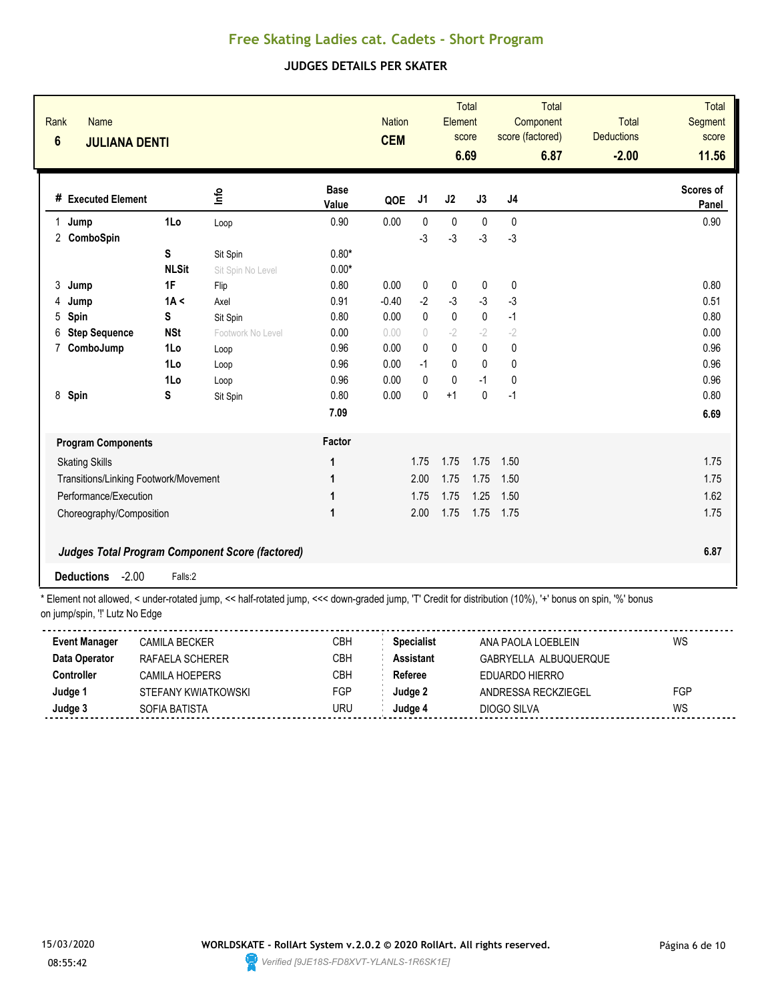### **JUDGES DETAILS PER SKATER**

| Rank<br>$6\phantom{a}$ | <b>Name</b><br><b>JULIANA DENTI</b>   |              |                                                        |                      | <b>Nation</b><br><b>CEM</b> |                                  | Element      | <b>Total</b><br>score<br>6.69 | score (factored) | <b>Total</b><br>Component<br>6.87 | <b>Total</b><br><b>Deductions</b><br>$-2.00$ | <b>Total</b><br>Segment<br>score<br>11.56 |
|------------------------|---------------------------------------|--------------|--------------------------------------------------------|----------------------|-----------------------------|----------------------------------|--------------|-------------------------------|------------------|-----------------------------------|----------------------------------------------|-------------------------------------------|
|                        | # Executed Element                    |              | ۴ų                                                     | <b>Base</b><br>Value | QOE                         | J1                               | J2           | J3                            | J4               |                                   |                                              | <b>Scores of</b><br>Panel                 |
| 1                      | Jump                                  | 1Lo          | Loop                                                   | 0.90                 | 0.00                        | $\mathbf{0}$                     | $\mathbf 0$  | $\mathbf{0}$                  | 0                |                                   |                                              | 0.90                                      |
|                        | 2 ComboSpin                           |              |                                                        |                      |                             | $-3$                             | -3           | $-3$                          | $-3$             |                                   |                                              |                                           |
|                        |                                       | S            | Sit Spin                                               | $0.80*$              |                             |                                  |              |                               |                  |                                   |                                              |                                           |
|                        |                                       | <b>NLSit</b> | Sit Spin No Level                                      | $0.00*$              |                             |                                  |              |                               |                  |                                   |                                              |                                           |
| 3                      | Jump                                  | 1F           | Flip                                                   | 0.80                 | 0.00                        | $\mathbf 0$                      | $\mathbf 0$  | $\mathbf 0$                   | 0                |                                   |                                              | 0.80                                      |
| 4                      | Jump                                  | 1A <         | Axel                                                   | 0.91                 | $-0.40$                     | $-2$                             | $-3$         | $-3$                          | $-3$             |                                   |                                              | 0.51                                      |
| 5                      | Spin                                  | S            | Sit Spin                                               | 0.80                 | 0.00                        | 0                                | $\pmb{0}$    | $\mathbf 0$                   | $-1$             |                                   |                                              | 0.80                                      |
| 6                      | <b>Step Sequence</b>                  | <b>NSt</b>   | Footwork No Level                                      | 0.00                 | 0.00                        | $\begin{array}{c} \n\end{array}$ | $-2$         | $-2$                          | $-2$             |                                   |                                              | 0.00                                      |
| 7                      | ComboJump                             | 1Lo          | Loop                                                   | 0.96                 | 0.00                        | $\Omega$                         | $\mathbf{0}$ | $\mathbf{0}$                  | 0                |                                   |                                              | 0.96                                      |
|                        |                                       | 1Lo          | Loop                                                   | 0.96                 | 0.00                        | $-1$                             | 0            | $\mathbf{0}$                  | $\mathbf{0}$     |                                   |                                              | 0.96                                      |
|                        |                                       | 1Lo          | Loop                                                   | 0.96                 | 0.00                        | 0                                | 0            | $-1$                          | 0                |                                   |                                              | 0.96                                      |
| 8                      | Spin                                  | S            | Sit Spin                                               | 0.80                 | 0.00                        | 0                                | $+1$         | $\mathbf{0}$                  | $-1$             |                                   |                                              | 0.80                                      |
|                        |                                       |              |                                                        | 7.09                 |                             |                                  |              |                               |                  |                                   |                                              | 6.69                                      |
|                        | <b>Program Components</b>             |              |                                                        | Factor               |                             |                                  |              |                               |                  |                                   |                                              |                                           |
|                        | <b>Skating Skills</b>                 |              |                                                        | 1                    |                             | 1.75                             | 1.75         | 1.75                          | 1.50             |                                   |                                              | 1.75                                      |
|                        | Transitions/Linking Footwork/Movement |              |                                                        | 1                    |                             | 2.00                             | 1.75         | 1.75                          | 1.50             |                                   |                                              | 1.75                                      |
|                        | Performance/Execution                 |              |                                                        | 1                    |                             | 1.75                             | 1.75         | 1.25                          | 1.50             |                                   |                                              | 1.62                                      |
|                        | Choreography/Composition              |              |                                                        | 1                    |                             | 2.00                             | 1.75         | 1.75                          | 1.75             |                                   |                                              | 1.75                                      |
|                        |                                       |              | <b>Judges Total Program Component Score (factored)</b> |                      |                             |                                  |              |                               |                  |                                   |                                              | 6.87                                      |
|                        | $-2.00$<br><b>Deductions</b>          | Falls:2      |                                                        |                      |                             |                                  |              |                               |                  |                                   |                                              |                                           |

| <b>Event Manager</b> | CAMILA BECKER       | CBH | <b>Specialist</b> | ANA PAOLA LOEBI FIN   | WS  |
|----------------------|---------------------|-----|-------------------|-----------------------|-----|
| Data Operator        | RAFAELA SCHERER     | CBH | <b>Assistant</b>  | GABRYELLA ALBUQUERQUE |     |
| Controller           | CAMII A HOFPFRS     | CBH | Referee           | EDUARDO HIERRO        |     |
| Judge                | STEFANY KWIATKOWSKI | FGP | Judge 2           | ANDRESSA RECKZIEGEL   | FGP |
| Judge 3              | SOFIA BATISTA       | uru | 'udae 4           | DIOGO SILVA           | WS  |
|                      |                     |     |                   |                       |     |

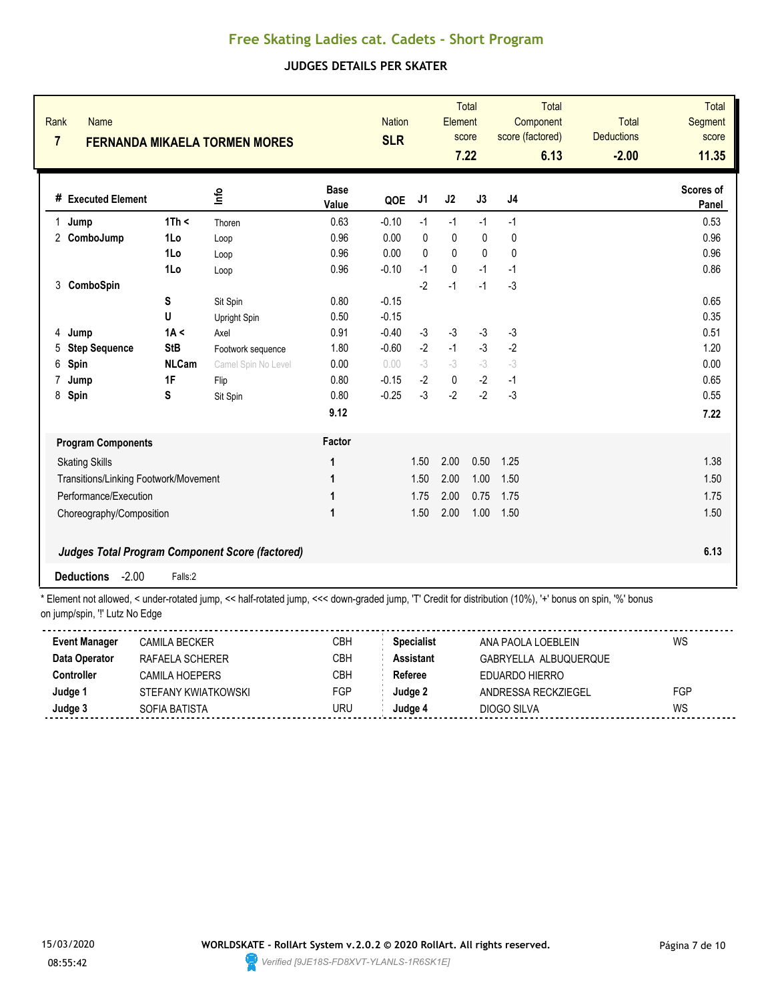### **JUDGES DETAILS PER SKATER**

| Rank<br><b>Name</b><br>$\overline{7}$ |                            | <b>FERNANDA MIKAELA TORMEN MORES</b>                   |                      | <b>Nation</b><br><b>SLR</b> |          | Element      | Total<br>score<br>7.22 | Component<br>score (factored) | <b>Total</b><br>6.13 | <b>Total</b><br><b>Deductions</b><br>$-2.00$ | <b>Total</b><br>Segment<br>score<br>11.35 |
|---------------------------------------|----------------------------|--------------------------------------------------------|----------------------|-----------------------------|----------|--------------|------------------------|-------------------------------|----------------------|----------------------------------------------|-------------------------------------------|
| # Executed Element                    |                            | ۴ů                                                     | <b>Base</b><br>Value | QOE                         | J1       | J2           | J3                     | J4                            |                      |                                              | Scores of<br>Panel                        |
| Jump<br>$\mathbf 1$                   | 1Th <                      | Thoren                                                 | 0.63                 | $-0.10$                     | $-1$     | $-1$         | $-1$                   | $-1$                          |                      |                                              | 0.53                                      |
| ComboJump<br>2                        | 1Lo                        | Loop                                                   | 0.96                 | 0.00                        | 0        | 0            | 0                      | 0                             |                      |                                              | 0.96                                      |
|                                       | 1Lo                        | Loop                                                   | 0.96                 | 0.00                        | $\Omega$ | $\mathbf{0}$ | $\mathbf{0}$           | 0                             |                      |                                              | 0.96                                      |
|                                       | 1Lo                        | Loop                                                   | 0.96                 | $-0.10$                     | $-1$     | $\mathbf 0$  | $-1$                   | $-1$                          |                      |                                              | 0.86                                      |
| ComboSpin<br>3                        |                            |                                                        |                      |                             | $-2$     | $-1$         | $-1$                   | $-3$                          |                      |                                              |                                           |
|                                       | S                          | Sit Spin                                               | 0.80                 | $-0.15$                     |          |              |                        |                               |                      |                                              | 0.65                                      |
|                                       | U                          | <b>Upright Spin</b>                                    | 0.50                 | $-0.15$                     |          |              |                        |                               |                      |                                              | 0.35                                      |
| 4<br>Jump                             | 1A <                       | Axel                                                   | 0.91                 | $-0.40$                     | $-3$     | $-3$         | $-3$                   | $-3$                          |                      |                                              | 0.51                                      |
| <b>Step Sequence</b><br>5             | <b>StB</b>                 | Footwork sequence                                      | 1.80                 | $-0.60$                     | $-2$     | $-1$         | $-3$                   | $-2$                          |                      |                                              | 1.20                                      |
| 6<br>Spin                             | <b>NLCam</b>               | Camel Spin No Level                                    | 0.00                 | 0.00                        | $-3$     | $-3$         | $-3$                   | $-3$                          |                      |                                              | 0.00                                      |
| Jump<br>7                             | 1F                         | Flip                                                   | 0.80                 | $-0.15$                     | $-2$     | $\mathbf 0$  | $-2$                   | $-1$                          |                      |                                              | 0.65                                      |
| 8<br>Spin                             | S                          | Sit Spin                                               | 0.80                 | $-0.25$                     | $-3$     | $-2$         | $-2$                   | $-3$                          |                      |                                              | 0.55                                      |
|                                       |                            |                                                        | 9.12                 |                             |          |              |                        |                               |                      |                                              | 7.22                                      |
| <b>Program Components</b>             |                            |                                                        | Factor               |                             |          |              |                        |                               |                      |                                              |                                           |
| <b>Skating Skills</b>                 |                            |                                                        | 1                    |                             | 1.50     | 2.00         | 0.50                   | 1.25                          |                      |                                              | 1.38                                      |
| Transitions/Linking Footwork/Movement |                            |                                                        | 1                    |                             | 1.50     | 2.00         | 1.00                   | 1.50                          |                      |                                              | 1.50                                      |
|                                       | Performance/Execution<br>1 |                                                        |                      |                             | 1.75     | 2.00         | 0.75                   | 1.75                          |                      |                                              | 1.75                                      |
| Choreography/Composition              |                            |                                                        | 1                    |                             | 1.50     | 2.00         | 1.00                   | 1.50                          |                      |                                              | 1.50                                      |
|                                       |                            | <b>Judges Total Program Component Score (factored)</b> |                      |                             |          |              |                        |                               |                      |                                              | 6.13                                      |
| $-2.00$<br><b>Deductions</b>          | Falls:2                    |                                                        |                      |                             |          |              |                        |                               |                      |                                              |                                           |

| <b>Event Manager</b> | CAMILA BECKER       | CBH | Specialist | ANA PAOLA LOFBLEIN    | WS  |
|----------------------|---------------------|-----|------------|-----------------------|-----|
| Data Operator        | RAFAELA SCHERER     | СВН | Assistant  | GABRYELLA ALBUQUEROUE |     |
| Controller           | CAMII A HOFPFRS     | СВН | Referee    | EDUARDO HIERRO        |     |
| Judge '              | STEFANY KWIATKOWSKI | FGP | Judae 2    | ANDRESSA RECKZIEGEL   | FGP |
| Judge 3              | SOFIA BATISTA       | uru | Judae 4    | DIOGO SILVA           | WS  |
|                      |                     |     |            |                       |     |

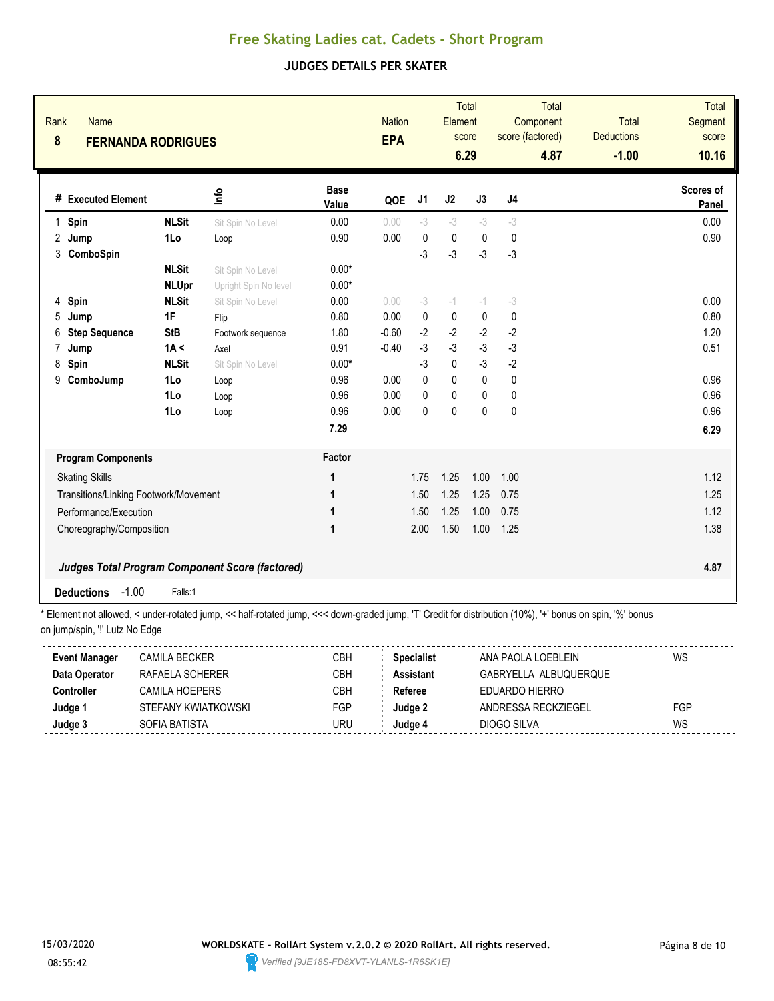### **JUDGES DETAILS PER SKATER**

| Rank<br>8    | Name<br><b>FERNANDA RODRIGUES</b>     |              |                                                 |                      | <b>Nation</b><br><b>EPA</b> |                | Element      | <b>Total</b><br>score<br>6.29 | Total<br>Component<br>score (factored)<br>4.87 | <b>Total</b><br><b>Deductions</b><br>$-1.00$ | <b>Total</b><br><b>Segment</b><br>score<br>10.16 |
|--------------|---------------------------------------|--------------|-------------------------------------------------|----------------------|-----------------------------|----------------|--------------|-------------------------------|------------------------------------------------|----------------------------------------------|--------------------------------------------------|
|              | # Executed Element                    |              | ١f٥                                             | <b>Base</b><br>Value | QOE                         | J <sub>1</sub> | J2           | J3                            | J <sub>4</sub>                                 |                                              | Scores of<br>Panel                               |
| $\mathbf{1}$ | Spin                                  | <b>NLSit</b> | Sit Spin No Level                               | 0.00                 | 0.00                        | $-3$           | $-3$         | $-3$                          | $-3$                                           |                                              | 0.00                                             |
| 2            | Jump                                  | 1Lo          | Loop                                            | 0.90                 | 0.00                        | 0              | 0            | $\mathbf 0$                   | $\mathbf{0}$                                   |                                              | 0.90                                             |
| 3            | ComboSpin                             |              |                                                 |                      |                             | $-3$           | $-3$         | $-3$                          | $-3$                                           |                                              |                                                  |
|              |                                       | <b>NLSit</b> | Sit Spin No Level                               | $0.00*$              |                             |                |              |                               |                                                |                                              |                                                  |
|              |                                       | <b>NLUpr</b> | Upright Spin No level                           | $0.00*$              |                             |                |              |                               |                                                |                                              |                                                  |
| 4            | Spin                                  | <b>NLSit</b> | Sit Spin No Level                               | 0.00                 | 0.00                        | $-3$           | $-1$         | $-1$                          | $-3$                                           |                                              | 0.00                                             |
| 5            | Jump                                  | 1F           | Flip                                            | 0.80                 | 0.00                        | $\mathbf{0}$   | $\mathbf{0}$ | $\mathbf{0}$                  | $\mathbf 0$                                    |                                              | 0.80                                             |
| 6            | <b>Step Sequence</b>                  | <b>StB</b>   | Footwork sequence                               | 1.80                 | $-0.60$                     | $-2$           | $-2$         | $-2$                          | $-2$                                           |                                              | 1.20                                             |
| 7            | Jump                                  | 1A <         | Axel                                            | 0.91                 | $-0.40$                     | $-3$           | $-3$         | $-3$                          | $-3$                                           |                                              | 0.51                                             |
| 8            | Spin                                  | <b>NLSit</b> | Sit Spin No Level                               | $0.00*$              |                             | $-3$           | $\mathbf 0$  | $-3$                          | $-2$                                           |                                              |                                                  |
| 9            | ComboJump                             | 1Lo          | Loop                                            | 0.96                 | 0.00                        | $\mathbf{0}$   | $\mathbf 0$  | $\pmb{0}$                     | 0                                              |                                              | 0.96                                             |
|              |                                       | 1Lo          | Loop                                            | 0.96                 | 0.00                        | 0              | 0            | 0                             | 0                                              |                                              | 0.96                                             |
|              |                                       | 1Lo          | Loop                                            | 0.96                 | 0.00                        | $\mathbf 0$    | $\pmb{0}$    | $\pmb{0}$                     | $\pmb{0}$                                      |                                              | 0.96                                             |
|              |                                       |              |                                                 | 7.29                 |                             |                |              |                               |                                                |                                              | 6.29                                             |
|              | <b>Program Components</b>             |              |                                                 | Factor               |                             |                |              |                               |                                                |                                              |                                                  |
|              | <b>Skating Skills</b>                 |              |                                                 | 1                    |                             | 1.75           | 1.25         | 1.00                          | 1.00                                           |                                              | 1.12                                             |
|              | Transitions/Linking Footwork/Movement |              |                                                 | 1                    |                             | 1.50           | 1.25         | 1.25                          | 0.75                                           |                                              | 1.25                                             |
|              | Performance/Execution                 |              |                                                 | 1                    |                             | 1.50           | 1.25         | 1.00                          | 0.75                                           |                                              | 1.12                                             |
|              | Choreography/Composition              |              |                                                 | 1                    |                             | 2.00           | 1.50         | 1.00                          | 1.25                                           |                                              | 1.38                                             |
|              |                                       |              |                                                 |                      |                             |                |              |                               |                                                |                                              |                                                  |
|              |                                       |              | Judges Total Program Component Score (factored) |                      |                             |                |              |                               |                                                |                                              | 4.87                                             |
|              | $-1.00$<br><b>Deductions</b>          | Falls:1      |                                                 |                      |                             |                |              |                               |                                                |                                              |                                                  |

| <b>Event Manager</b> | <b>CAMILA BECKER</b> | СВН | <b>Specialist</b> | ANA PAOLA LOEBLEIN    | WS  |
|----------------------|----------------------|-----|-------------------|-----------------------|-----|
| Data Operator        | RAFAELA SCHERER      | CBH | <b>Assistant</b>  | GABRYELLA ALBUQUERQUE |     |
| Controller           | CAMILA HOFPFRS       | СВН | Referee           | FDUARDO HIFRRO        |     |
| Judge 1              | STEFANY KWIATKOWSKI  | FGP | Judge 2           | ANDRESSA RECKZIEGEL   | FGP |
| Judge 3              | SOFIA BATISTA        | JRU | Judqe⊿            | DIOGO SILVA           | WS  |
|                      |                      |     |                   |                       |     |

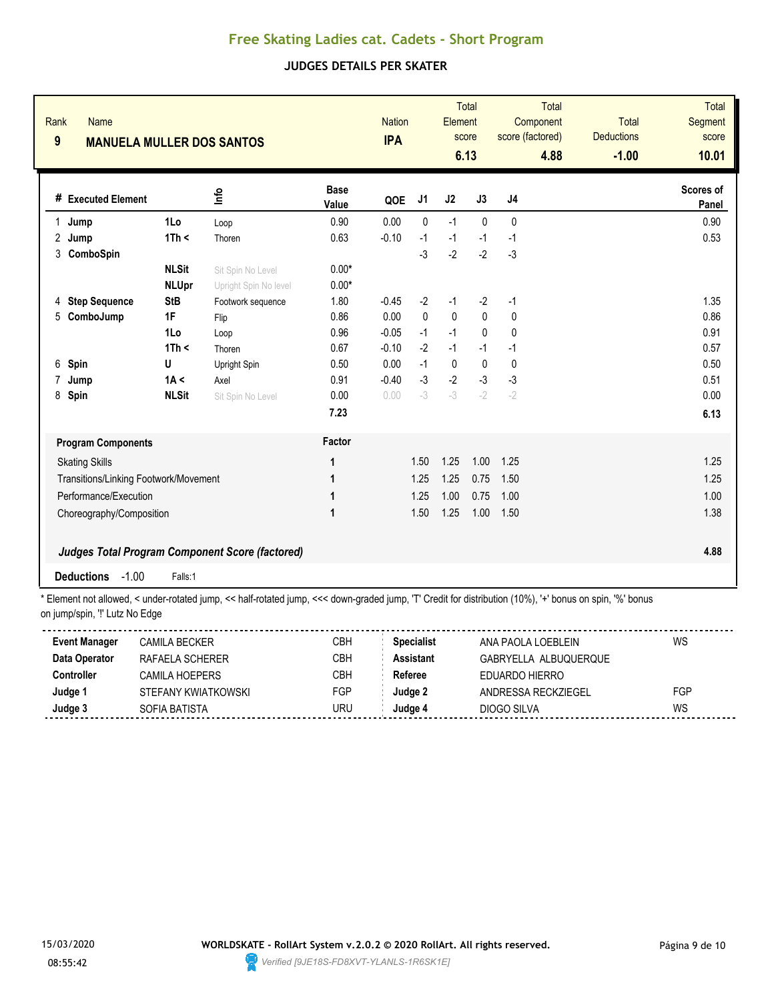### **JUDGES DETAILS PER SKATER**

| Rank<br>$\boldsymbol{9}$ | <b>Name</b><br><b>MANUELA MULLER DOS SANTOS</b> |              |                                                        |                      | <b>Nation</b><br><b>IPA</b> |              | Element      | <b>Total</b><br>score<br>6.13 | score (factored) | <b>Total</b><br>Component<br>4.88 | <b>Total</b><br><b>Deductions</b><br>$-1.00$ | <b>Total</b><br>Segment<br>score<br>10.01 |
|--------------------------|-------------------------------------------------|--------------|--------------------------------------------------------|----------------------|-----------------------------|--------------|--------------|-------------------------------|------------------|-----------------------------------|----------------------------------------------|-------------------------------------------|
|                          | # Executed Element                              |              | ۴ų                                                     | <b>Base</b><br>Value | QOE                         | J1           | J2           | J3                            | J4               |                                   |                                              | Scores of<br>Panel                        |
| $\mathbf{1}$             | Jump                                            | 1Lo          | Loop                                                   | 0.90                 | 0.00                        | $\mathbf{0}$ | $-1$         | $\mathbf 0$                   | $\mathbf{0}$     |                                   |                                              | 0.90                                      |
| 2                        | Jump                                            | 1Th <        | Thoren                                                 | 0.63                 | $-0.10$                     | $-1$         | $-1$         | $-1$                          | $-1$             |                                   |                                              | 0.53                                      |
| 3                        | ComboSpin                                       |              |                                                        |                      |                             | $-3$         | $-2$         | $-2$                          | $-3$             |                                   |                                              |                                           |
|                          |                                                 | <b>NLSit</b> | Sit Spin No Level                                      | $0.00*$              |                             |              |              |                               |                  |                                   |                                              |                                           |
|                          |                                                 | <b>NLUpr</b> | Upright Spin No level                                  | $0.00*$              |                             |              |              |                               |                  |                                   |                                              |                                           |
| 4                        | <b>Step Sequence</b>                            | <b>StB</b>   | Footwork sequence                                      | 1.80                 | $-0.45$                     | $-2$         | $-1$         | $-2$                          | $-1$             |                                   |                                              | 1.35                                      |
| 5                        | ComboJump                                       | 1F           | Flip                                                   | 0.86                 | 0.00                        | $\mathbf{0}$ | $\mathbf{0}$ | $\mathbf{0}$                  | $\mathbf{0}$     |                                   |                                              | 0.86                                      |
|                          |                                                 | 1Lo          | Loop                                                   | 0.96                 | $-0.05$                     | $-1$         | $-1$         | $\mathbf 0$                   | 0                |                                   |                                              | 0.91                                      |
|                          |                                                 | 1Th <        | Thoren                                                 | 0.67                 | $-0.10$                     | $-2$         | $-1$         | $-1$                          | $-1$             |                                   |                                              | 0.57                                      |
| 6                        | Spin                                            | U            | Upright Spin                                           | 0.50                 | 0.00                        | $-1$         | $\mathbf 0$  | $\mathbf 0$                   | $\mathbf{0}$     |                                   |                                              | 0.50                                      |
| 7                        | Jump                                            | 1A <         | Axel                                                   | 0.91                 | $-0.40$                     | $-3$         | $-2$         | $-3$                          | $-3$             |                                   |                                              | 0.51                                      |
| 8                        | Spin                                            | <b>NLSit</b> | Sit Spin No Level                                      | 0.00                 | 0.00                        | $-3$         | $-3$         | $-2$                          | $-2$             |                                   |                                              | 0.00                                      |
|                          |                                                 |              |                                                        | 7.23                 |                             |              |              |                               |                  |                                   |                                              | 6.13                                      |
|                          | <b>Program Components</b>                       |              |                                                        | Factor               |                             |              |              |                               |                  |                                   |                                              |                                           |
|                          | <b>Skating Skills</b>                           |              |                                                        | 1                    |                             | 1.50         | 1.25         | 1.00                          | 1.25             |                                   |                                              | 1.25                                      |
|                          | Transitions/Linking Footwork/Movement           |              |                                                        | 1                    |                             | 1.25         | 1.25         | 0.75                          | 1.50             |                                   |                                              | 1.25                                      |
| Performance/Execution    |                                                 |              | 1                                                      |                      | 1.25                        | 1.00         | 0.75         | 1.00                          |                  |                                   | 1.00                                         |                                           |
|                          | Choreography/Composition                        |              |                                                        | 1                    |                             | 1.50         | 1.25         | 1.00                          | 1.50             |                                   |                                              | 1.38                                      |
|                          |                                                 |              | <b>Judges Total Program Component Score (factored)</b> |                      |                             |              |              |                               |                  |                                   |                                              | 4.88                                      |
|                          | $-1.00$<br><b>Deductions</b>                    | Falls:1      |                                                        |                      |                             |              |              |                               |                  |                                   |                                              |                                           |

| <b>Event Manager</b> | CAMILA BECKER       | CBH | Specialist | ANA PAOLA LOFBLEIN    | WS  |
|----------------------|---------------------|-----|------------|-----------------------|-----|
| Data Operator        | RAFAELA SCHERER     | СВН | Assistant  | GABRYELLA ALBUQUEROUE |     |
| Controller           | CAMII A HOFPFRS     | СВН | Referee    | EDUARDO HIERRO        |     |
| Judge '              | STEFANY KWIATKOWSKI | FGP | ludae 2    | ANDRESSA RECKZIEGEL   | FGP |
| Judge 3              | SOFIA BATISTA       | uru | ″ ⊿udae    | DIOGO SILVA           | WS  |
|                      |                     |     |            |                       |     |